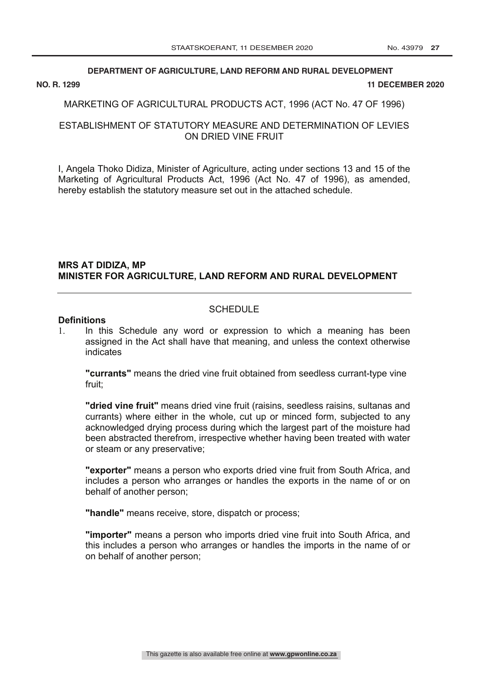#### **DEPARTMENT OF AGRICULTURE, LAND REFORM AND RURAL DEVELOPMENT**

#### **NO. R. 1299 11 DECEMBER 2020**

# MARKETING OF AGRICULTURAL PRODUCTS ACT, 1996 (ACT No. 47 OF 1996)

# ESTABLISHMENT OF STATUTORY MEASURE AND DETERMINATION OF LEVIES ON DRIED VINE FRUIT

I, Angela Thoko Didiza, Minister of Agriculture, acting under sections 13 and 15 of the Marketing of Agricultural Products Act, 1996 (Act No. 47 of 1996), as amended, hereby establish the statutory measure set out in the attached schedule.

# **MRS AT DIDIZA, MP MINISTER FOR AGRICULTURE, LAND REFORM AND RURAL DEVELOPMENT**

## **Definitions**

#### SCHEDULE

1. In this Schedule any word or expression to which a meaning has been assigned in the Act shall have that meaning, and unless the context otherwise indicates

**"currants"** means the dried vine fruit obtained from seedless currant-type vine fruit;

**"dried vine fruit"** means dried vine fruit (raisins, seedless raisins, sultanas and currants) where either in the whole, cut up or minced form, subjected to any acknowledged drying process during which the largest part of the moisture had been abstracted therefrom, irrespective whether having been treated with water or steam or any preservative;

**"exporter"** means a person who exports dried vine fruit from South Africa, and includes a person who arranges or handles the exports in the name of or on behalf of another person;

**"handle"** means receive, store, dispatch or process;

**"importer"** means a person who imports dried vine fruit into South Africa, and this includes a person who arranges or handles the imports in the name of or on behalf of another person;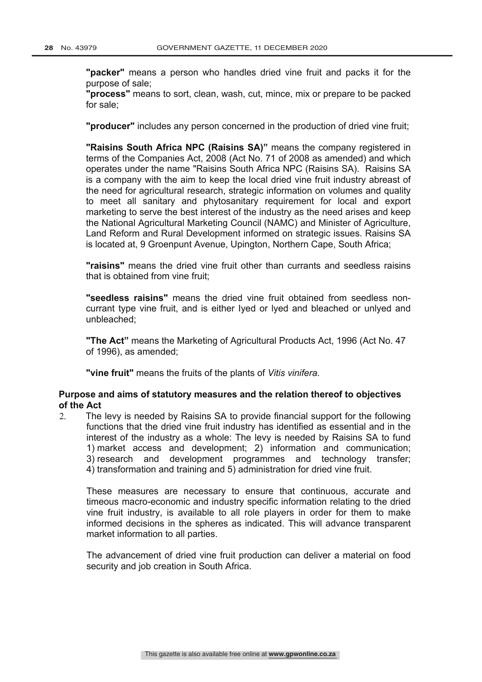**"packer"** means a person who handles dried vine fruit and packs it for the purpose of sale;

**"process"** means to sort, clean, wash, cut, mince, mix or prepare to be packed for sale;

**"producer"** includes any person concerned in the production of dried vine fruit;

**"Raisins South Africa NPC (Raisins SA)"** means the company registered in terms of the Companies Act, 2008 (Act No. 71 of 2008 as amended) and which operates under the name "Raisins South Africa NPC (Raisins SA). Raisins SA is a company with the aim to keep the local dried vine fruit industry abreast of the need for agricultural research, strategic information on volumes and quality to meet all sanitary and phytosanitary requirement for local and export marketing to serve the best interest of the industry as the need arises and keep the National Agricultural Marketing Council (NAMC) and Minister of Agriculture, Land Reform and Rural Development informed on strategic issues. Raisins SA is located at, 9 Groenpunt Avenue, Upington, Northern Cape, South Africa;

**"raisins"** means the dried vine fruit other than currants and seedless raisins that is obtained from vine fruit;

**"seedless raisins"** means the dried vine fruit obtained from seedless noncurrant type vine fruit, and is either Iyed or lyed and bleached or unlyed and unbleached;

**"The Act"** means the Marketing of Agricultural Products Act, 1996 (Act No. 47 of 1996), as amended;

**"vine fruit"** means the fruits of the plants of *Vitis vinifera.*

# **Purpose and aims of statutory measures and the relation thereof to objectives of the Act**

2. The levy is needed by Raisins SA to provide financial support for the following functions that the dried vine fruit industry has identified as essential and in the interest of the industry as a whole: The levy is needed by Raisins SA to fund 1) market access and development; 2) information and communication; 3) research and development programmes and technology transfer; 4) transformation and training and 5) administration for dried vine fruit.

These measures are necessary to ensure that continuous, accurate and timeous macro-economic and industry specific information relating to the dried vine fruit industry, is available to all role players in order for them to make informed decisions in the spheres as indicated. This will advance transparent market information to all parties.

The advancement of dried vine fruit production can deliver a material on food security and job creation in South Africa.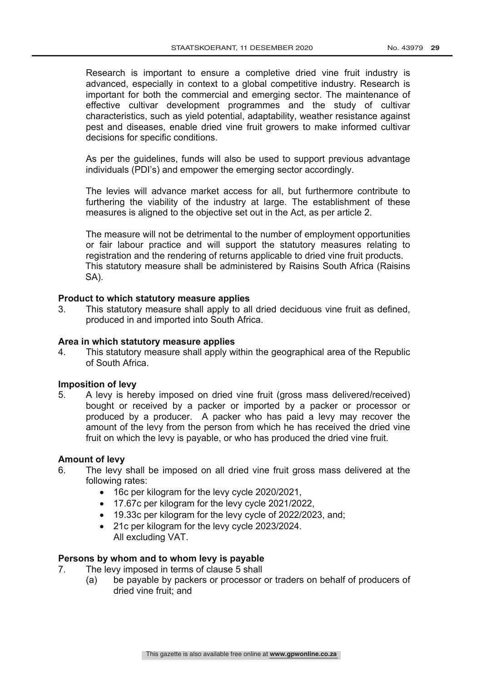Research is important to ensure a completive dried vine fruit industry is advanced, especially in context to a global competitive industry. Research is important for both the commercial and emerging sector. The maintenance of effective cultivar development programmes and the study of cultivar characteristics, such as yield potential, adaptability, weather resistance against pest and diseases, enable dried vine fruit growers to make informed cultivar decisions for specific conditions.

As per the guidelines, funds will also be used to support previous advantage individuals (PDI's) and empower the emerging sector accordingly.

The levies will advance market access for all, but furthermore contribute to furthering the viability of the industry at large. The establishment of these measures is aligned to the objective set out in the Act, as per article 2.

The measure will not be detrimental to the number of employment opportunities or fair labour practice and will support the statutory measures relating to registration and the rendering of returns applicable to dried vine fruit products. This statutory measure shall be administered by Raisins South Africa (Raisins SA).

## **Product to which statutory measure applies**

3. This statutory measure shall apply to all dried deciduous vine fruit as defined, produced in and imported into South Africa.

#### **Area in which statutory measure applies**

4. This statutory measure shall apply within the geographical area of the Republic of South Africa.

#### **Imposition of levy**

5. A levy is hereby imposed on dried vine fruit (gross mass delivered/received) bought or received by a packer or imported by a packer or processor or produced by a producer. A packer who has paid a levy may recover the amount of the levy from the person from which he has received the dried vine fruit on which the levy is payable, or who has produced the dried vine fruit.

#### **Amount of levy**

- 6. The levy shall be imposed on all dried vine fruit gross mass delivered at the following rates:
	- 16c per kilogram for the levy cycle 2020/2021,
	- 17.67c per kilogram for the levy cycle 2021/2022,
	- 19.33c per kilogram for the levy cycle of 2022/2023, and;
	- 21c per kilogram for the levy cycle 2023/2024. All excluding VAT.

# **Persons by whom and to whom levy is payable**

- 7. The levy imposed in terms of clause 5 shall
	- (a) be payable by packers or processor or traders on behalf of producers of dried vine fruit; and